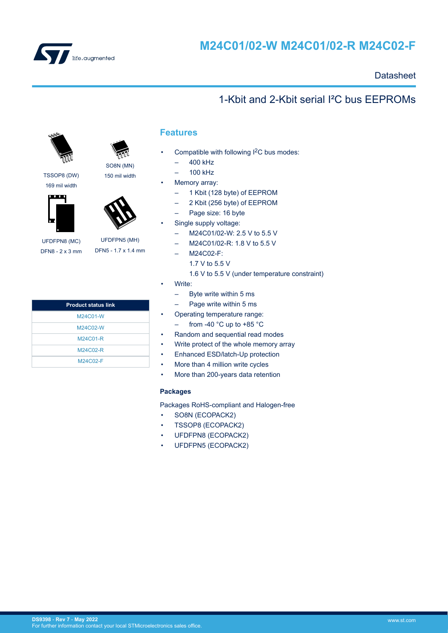<span id="page-0-0"></span>

# **M24C01/02-W M24C01/02-R M24C02-F**

## **Datasheet**

## 1-Kbit and 2-Kbit serial I²C bus EEPROMs



TSSOP8 (DW) SO8N (MN) 150 mil width



169 mil width



UFDFPN8 (MC) DFN8 - 2 x 3 mm

UFDFPN5 (MH) DFN5 - 1.7 x 1.4 mm

| <b>Product status link</b> |
|----------------------------|
| M24C01-W                   |
| M24C02-W                   |
| M24C01-R                   |
| M24C02-R                   |
| M24C02-F                   |

## **Features**

- Compatible with following I<sup>2</sup>C bus modes:
	- 400 kHz
	- 100 kHz
- Memory array:
	- 1 Kbit (128 byte) of EEPROM
	- 2 Kbit (256 byte) of EEPROM
	- Page size: 16 byte
- Single supply voltage:
	- M24C01/02-W: 2.5 V to 5.5 V
	- M24C01/02-R: 1.8 V to 5.5 V
	- M24C02-F:
		- 1.7 V to 5.5 V
		- 1.6 V to 5.5 V (under temperature constraint)
- Write:
	- Byte write within 5 ms
	- Page write within 5 ms
	- Operating temperature range:  $-$  from -40 °C up to +85 °C
- Random and sequential read modes
- Write protect of the whole memory array
- Enhanced ESD/latch-Up protection
- More than 4 million write cycles
- More than 200-years data retention

#### **Packages**

Packages RoHS-compliant and Halogen-free

- SO8N (ECOPACK2)
- TSSOP8 (ECOPACK2)
- UFDFPN8 (ECOPACK2)
- UFDFPN5 (ECOPACK2)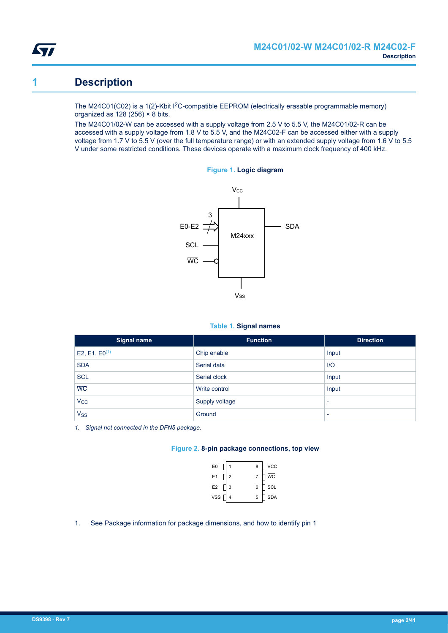<span id="page-1-0"></span>

## **1 Description**

The M24C01(C02) is a 1(2)-Kbit I<sup>2</sup>C-compatible EEPROM (electrically erasable programmable memory) organized as  $128(256) \times 8$  bits.

The M24C01/02-W can be accessed with a supply voltage from 2.5 V to 5.5 V, the M24C01/02-R can be accessed with a supply voltage from 1.8 V to 5.5 V, and the M24C02-F can be accessed either with a supply voltage from 1.7 V to 5.5 V (over the full temperature range) or with an extended supply voltage from 1.6 V to 5.5 V under some restricted conditions. These devices operate with a maximum clock frequency of 400 kHz.



#### **Figure 1. Logic diagram**

#### **Table 1. Signal names**

| <b>Signal name</b>    | <b>Function</b> | <b>Direction</b>         |
|-----------------------|-----------------|--------------------------|
| E2, E1, $E0^{(1)}$    | Chip enable     | Input                    |
| <b>SDA</b>            | Serial data     | $IVO$                    |
| <b>SCL</b>            | Serial clock    | Input                    |
| $\overline{WC}$       | Write control   | Input                    |
| $V_{\rm CC}$          | Supply voltage  | $\overline{\phantom{0}}$ |
| <b>V<sub>SS</sub></b> | Ground          | $\overline{\phantom{0}}$ |

*1. Signal not connected in the DFN5 package.*

#### **Figure 2. 8-pin package connections, top view**

| E <sub>0</sub> |                | 8 | <b>VCC</b> |
|----------------|----------------|---|------------|
| E1             | $\overline{2}$ | 7 | <b>WC</b>  |
| E <sub>2</sub> | 3              | 6 | SCL        |
| <b>VSS</b>     |                | 5 | <b>SDA</b> |

1. See Package information for package dimensions, and how to identify pin 1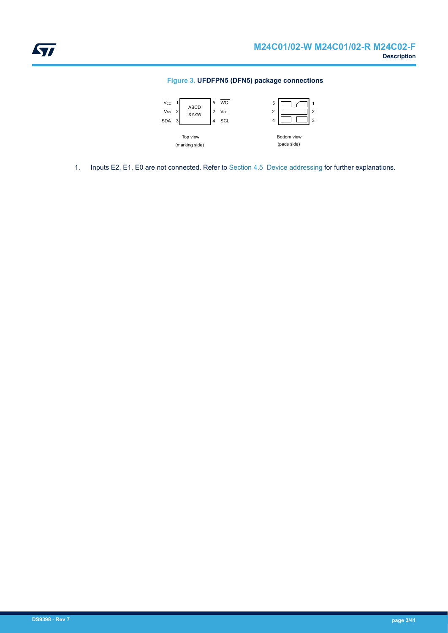#### **Figure 3. UFDFPN5 (DFN5) package connections**

<span id="page-2-0"></span>

1. Inputs E2, E1, E0 are not connected. Refer to [Section 4.5 Device addressing](#page-8-0) for further explanations.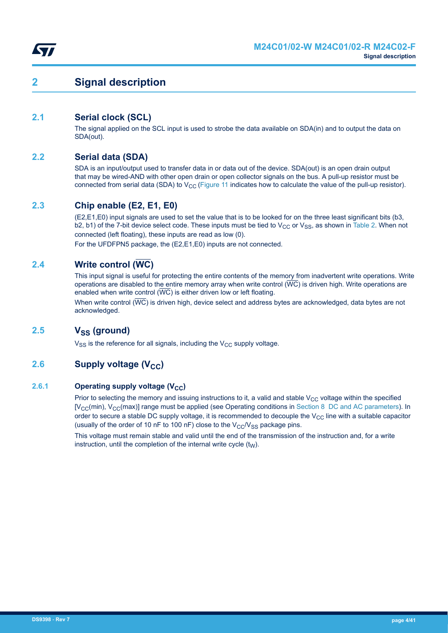<span id="page-3-0"></span>

## **2 Signal description**

## **2.1 Serial clock (SCL)**

The signal applied on the SCL input is used to strobe the data available on SDA(in) and to output the data on SDA(out).

## **2.2 Serial data (SDA)**

SDA is an input/output used to transfer data in or data out of the device. SDA(out) is an open drain output that may be wired-AND with other open drain or open collector signals on the bus. A pull-up resistor must be connected from serial data (SDA) to  $V_{CC}$  [\(Figure 11](#page-24-0) indicates how to calculate the value of the pull-up resistor).

## **2.3 Chip enable (E2, E1, E0)**

(E2,E1,E0) input signals are used to set the value that is to be looked for on the three least significant bits (b3, b2, b1) of the 7-bit device select code. These inputs must be tied to  $V_{CC}$  or  $V_{SS}$ , as shown in [Table 2](#page-8-0). When not connected (left floating), these inputs are read as low (0).

For the UFDFPN5 package, the (E2,E1,E0) inputs are not connected.

## **2.4 Write control (WC)**

This input signal is useful for protecting the entire contents of the memory from inadvertent write operations. Write operations are disabled to the entire memory array when write control  $(\overline{WC})$  is driven high. Write operations are enabled when write control  $(\overline{WC})$  is either driven low or left floating.

When write control  $(\overline{WC})$  is driven high, device select and address bytes are acknowledged, data bytes are not acknowledged.

## **2.5 VSS (ground)**

 $V_{SS}$  is the reference for all signals, including the  $V_{CC}$  supply voltage.

## **2.6 Supply voltage (V<sub>CC</sub>)**

#### **2.6.1 Operating supply voltage (V<sub>CC</sub>)**

Prior to selecting the memory and issuing instructions to it, a valid and stable  $V_{CC}$  voltage within the specified  $[V<sub>CC</sub>(min), V<sub>CC</sub>(max)]$  range must be applied (see Operating conditions in [Section 8 DC and AC parameters](#page-17-0)). In order to secure a stable DC supply voltage, it is recommended to decouple the  $V_{CC}$  line with a suitable capacitor (usually of the order of 10 nF to 100 nF) close to the  $V_{CC}/V_{SS}$  package pins.

This voltage must remain stable and valid until the end of the transmission of the instruction and, for a write instruction, until the completion of the internal write cycle  $(t_W)$ .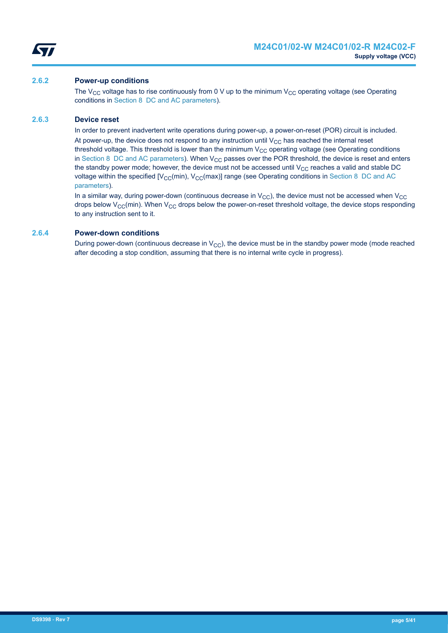<span id="page-4-0"></span>

#### **2.6.2 Power-up conditions**

The V<sub>CC</sub> voltage has to rise continuously from 0 V up to the minimum V<sub>CC</sub> operating voltage (see Operating conditions in [Section 8 DC and AC parameters\)](#page-17-0).

#### **2.6.3 Device reset**

In order to prevent inadvertent write operations during power-up, a power-on-reset (POR) circuit is included. At power-up, the device does not respond to any instruction until  $V_{CC}$  has reached the internal reset threshold voltage. This threshold is lower than the minimum  $V_{CC}$  operating voltage (see Operating conditions in [Section 8 DC and AC parameters\)](#page-17-0). When  $V_{CC}$  passes over the POR threshold, the device is reset and enters the standby power mode; however, the device must not be accessed until  $V_{CC}$  reaches a valid and stable DC voltage within the specified  $[V_{\text{CC}}(min), V_{\text{CC}}(max)]$  range (see Operating conditions in [Section 8 DC and AC](#page-17-0) [parameters\)](#page-17-0).

In a similar way, during power-down (continuous decrease in  $V_{\text{CC}}$ ), the device must not be accessed when  $V_{\text{CC}}$ drops below  $V_{CC}$ (min). When  $V_{CC}$  drops below the power-on-reset threshold voltage, the device stops responding to any instruction sent to it.

#### **2.6.4 Power-down conditions**

During power-down (continuous decrease in  $V_{CC}$ ), the device must be in the standby power mode (mode reached after decoding a stop condition, assuming that there is no internal write cycle in progress).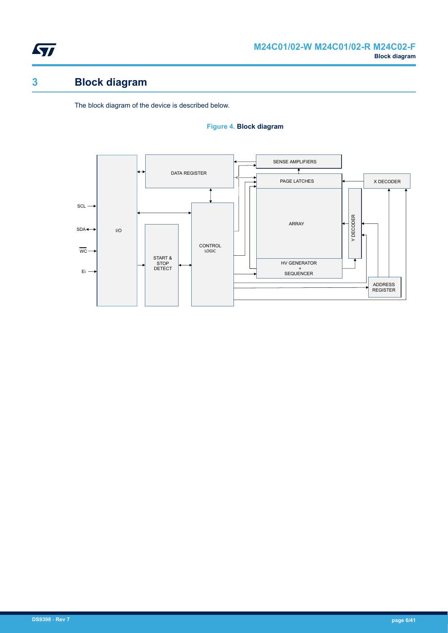<span id="page-5-0"></span>

# **3 Block diagram**

The block diagram of the device is described below.

#### **Figure 4. Block diagram**

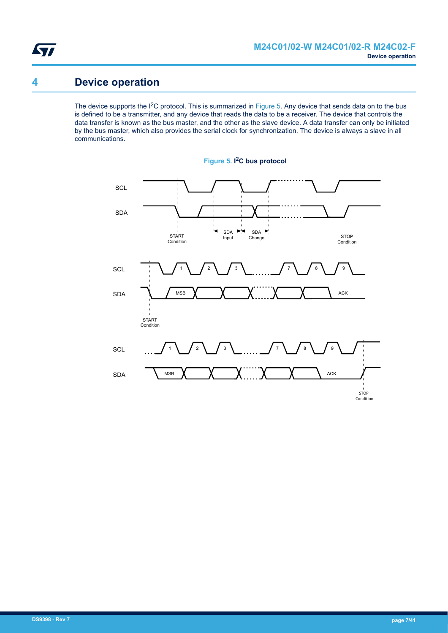<span id="page-6-0"></span>

## **4 Device operation**

The device supports the I<sup>2</sup>C protocol. This is summarized in Figure 5. Any device that sends data on to the bus is defined to be a transmitter, and any device that reads the data to be a receiver. The device that controls the data transfer is known as the bus master, and the other as the slave device. A data transfer can only be initiated by the bus master, which also provides the serial clock for synchronization. The device is always a slave in all communications.



**Figure 5. I <sup>2</sup>C bus protocol**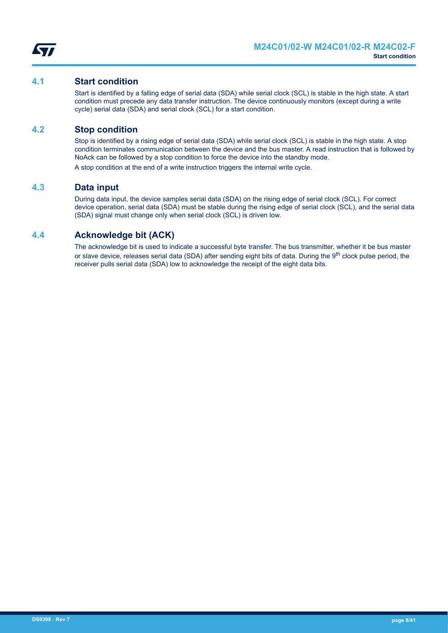<span id="page-7-0"></span>

### **4.1 Start condition**

Start is identified by a falling edge of serial data (SDA) while serial clock (SCL) is stable in the high state. A start condition must precede any data transfer instruction. The device continuously monitors (except during a write cycle) serial data (SDA) and serial clock (SCL) for a start condition.

### **4.2 Stop condition**

Stop is identified by a rising edge of serial data (SDA) while serial clock (SCL) is stable in the high state. A stop condition terminates communication between the device and the bus master. A read instruction that is followed by NoAck can be followed by a stop condition to force the device into the standby mode.

A stop condition at the end of a write instruction triggers the internal write cycle.

### **4.3 Data input**

During data input, the device samples serial data (SDA) on the rising edge of serial clock (SCL). For correct device operation, serial data (SDA) must be stable during the rising edge of serial clock (SCL), and the serial data (SDA) signal must change only when serial clock (SCL) is driven low.

## **4.4 Acknowledge bit (ACK)**

The acknowledge bit is used to indicate a successful byte transfer. The bus transmitter, whether it be bus master or slave device, releases serial data (SDA) after sending eight bits of data. During the 9<sup>th</sup> clock pulse period, the receiver pulls serial data (SDA) low to acknowledge the receipt of the eight data bits.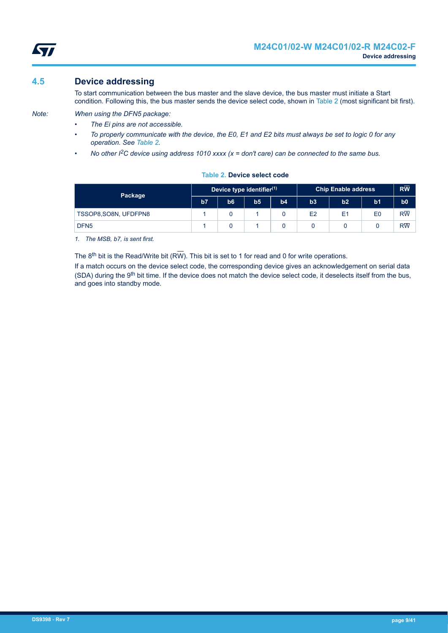

## <span id="page-8-0"></span>**4.5 Device addressing**

- *Note: When using the DFN5 package: • The Ei pins are not accessible.*
	- *To properly communicate with the device, the E0, E1 and E2 bits must always be set to logic 0 for any operation. See Table 2.*

To start communication between the bus master and the slave device, the bus master must initiate a Start condition. Following this, the bus master sends the device select code, shown in Table 2 (most significant bit first).

*• No other I2C device using address 1010 xxxx (x = don't care) can be connected to the same bus.*

| Package               | Device type identifier <sup>(1)</sup> |                |                |    | <b>Chip Enable address</b> |                |                | $R\overline{W}$ |
|-----------------------|---------------------------------------|----------------|----------------|----|----------------------------|----------------|----------------|-----------------|
|                       | b <sub>7</sub>                        | b <sub>6</sub> | b <sub>5</sub> | b4 | b3                         | b2             | b <sub>1</sub> | b <sub>0</sub>  |
| TSSOP8, SO8N, UFDFPN8 |                                       |                |                |    | E2                         | E <sub>1</sub> | E <sub>0</sub> | $R\overline{W}$ |
| DFN <sub>5</sub>      |                                       |                |                |    |                            |                |                | $R\overline{W}$ |

**Table 2. Device select code**

*1. The MSB, b7, is sent first.*

The  $8<sup>th</sup>$  bit is the Read/Write bit (RW). This bit is set to 1 for read and 0 for write operations.

If a match occurs on the device select code, the corresponding device gives an acknowledgement on serial data (SDA) during the 9<sup>th</sup> bit time. If the device does not match the device select code, it deselects itself from the bus, and goes into standby mode.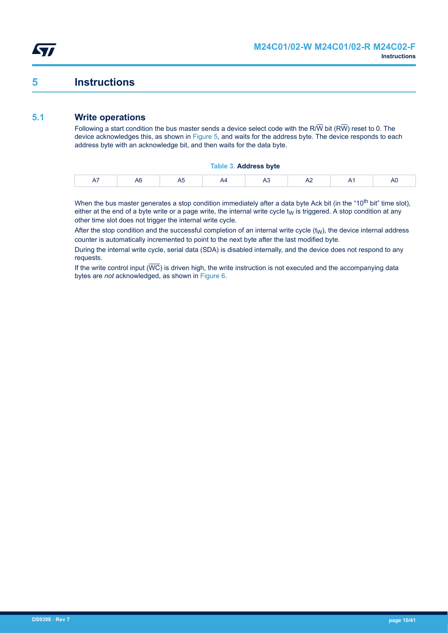<span id="page-9-0"></span>

## **5 Instructions**

## **5.1 Write operations**

Following a start condition the bus master sends a device select code with the R/W bit (RW) reset to 0. The device acknowledges this, as shown in [Figure 5](#page-6-0), and waits for the address byte. The device responds to each address byte with an acknowledge bit, and then waits for the data byte.

#### **Table 3. Address byte**

When the bus master generates a stop condition immediately after a data byte Ack bit (in the "10<sup>th</sup> bit" time slot), either at the end of a byte write or a page write, the internal write cycle  $t<sub>W</sub>$  is triggered. A stop condition at any other time slot does not trigger the internal write cycle.

After the stop condition and the successful completion of an internal write cycle  $(t_W)$ , the device internal address counter is automatically incremented to point to the next byte after the last modified byte.

During the internal write cycle, serial data (SDA) is disabled internally, and the device does not respond to any requests.

If the write control input  $(\overline{WC})$  is driven high, the write instruction is not executed and the accompanying data bytes are *not* acknowledged, as shown in [Figure 6](#page-10-0).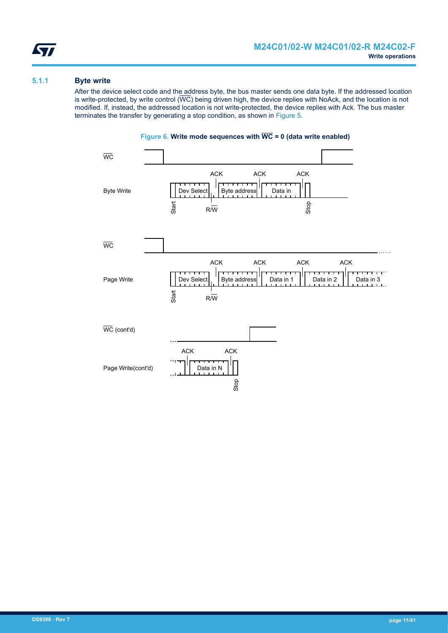<span id="page-10-0"></span>

#### **5.1.1 Byte write**

After the device select code and the address byte, the bus master sends one data byte. If the addressed location is write-protected, by write control  $(\overline{WC})$  being driven high, the device replies with NoAck, and the location is not modified. If, instead, the addressed location is not write-protected, the device replies with Ack. The bus master terminates the transfer by generating a stop condition, as shown in [Figure 5.](#page-6-0)



### **Figure 6. Write mode sequences with WC = 0 (data write enabled)**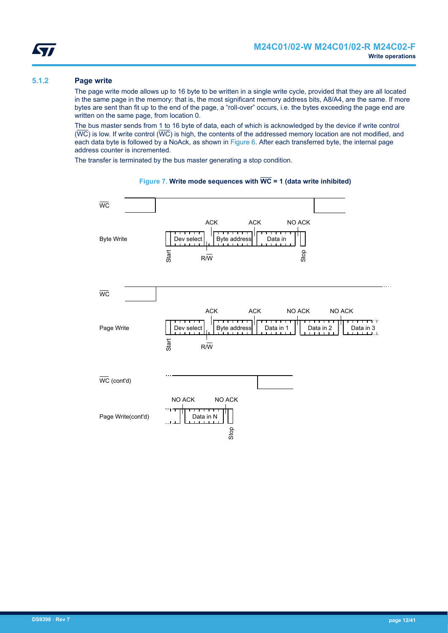#### <span id="page-11-0"></span>**5.1.2 Page write**

The page write mode allows up to 16 byte to be written in a single write cycle, provided that they are all located in the same page in the memory: that is, the most significant memory address bits, A8/A4, are the same. If more bytes are sent than fit up to the end of the page, a "roll-over" occurs, i.e. the bytes exceeding the page end are written on the same page, from location 0.

The bus master sends from 1 to 16 byte of data, each of which is acknowledged by the device if write control  $(\overline{WC})$  is low. If write control  $(\overline{WC})$  is high, the contents of the addressed memory location are not modified, and each data byte is followed by a NoAck, as shown in [Figure 6](#page-10-0). After each transferred byte, the internal page address counter is incremented.

The transfer is terminated by the bus master generating a stop condition.



#### **Figure 7. Write mode sequences with WC = 1 (data write inhibited)**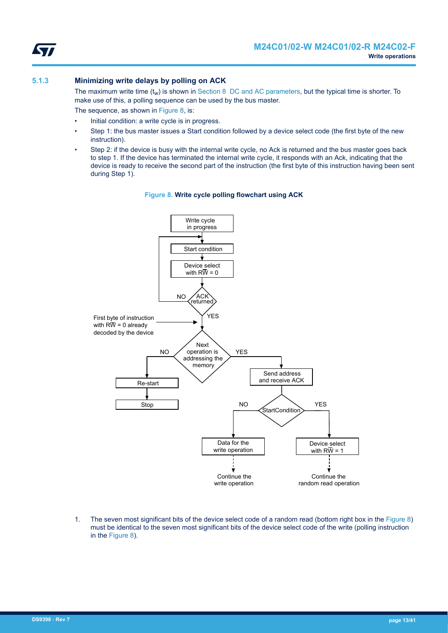<span id="page-12-0"></span>

#### **5.1.3 Minimizing write delays by polling on ACK**

The maximum write time  $(t_w)$  is shown in [Section 8 DC and AC parameters](#page-17-0), but the typical time is shorter. To make use of this, a polling sequence can be used by the bus master.

The sequence, as shown in Figure 8, is:

- Initial condition: a write cycle is in progress.
- Step 1: the bus master issues a Start condition followed by a device select code (the first byte of the new instruction).
- Step 2: if the device is busy with the internal write cycle, no Ack is returned and the bus master goes back to step 1. If the device has terminated the internal write cycle, it responds with an Ack, indicating that the device is ready to receive the second part of the instruction (the first byte of this instruction having been sent during Step 1).



#### **Figure 8. Write cycle polling flowchart using ACK**

1. The seven most significant bits of the device select code of a random read (bottom right box in the Figure 8) must be identical to the seven most significant bits of the device select code of the write (polling instruction in the Figure 8).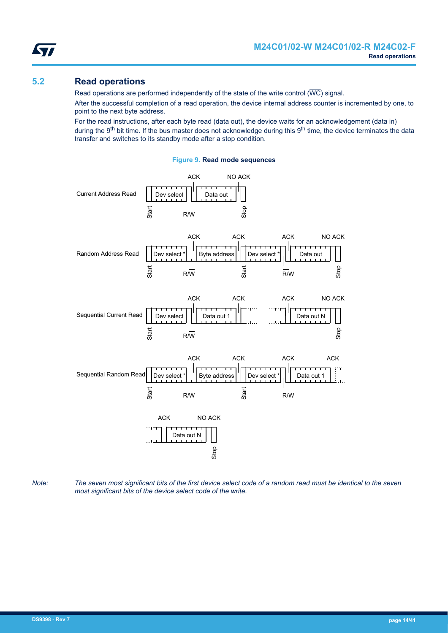Stop

NO ACK

## <span id="page-13-0"></span>**5.2 Read operations**

Read operations are performed independently of the state of the write control ( $\overline{\text{WC}}$ ) signal.

After the successful completion of a read operation, the device internal address counter is incremented by one, to point to the next byte address.

For the read instructions, after each byte read (data out), the device waits for an acknowledgement (data in) during the 9<sup>th</sup> bit time. If the bus master does not acknowledge during this 9<sup>th</sup> time, the device terminates the data transfer and switches to its standby mode after a stop condition.



**Figure 9. Read mode sequences**





Data out N Stop

*Note: The seven most significant bits of the first device select code of a random read must be identical to the seven most significant bits of the device select code of the write.*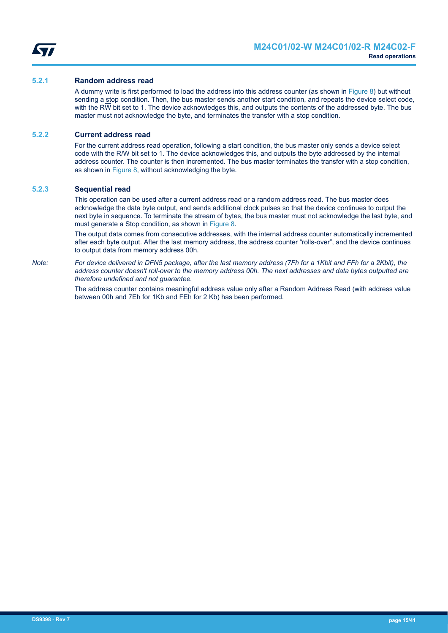<span id="page-14-0"></span>

#### **5.2.1 Random address read**

A dummy write is first performed to load the address into this address counter (as shown in [Figure 8](#page-12-0)) but without sending a stop condition. Then, the bus master sends another start condition, and repeats the device select code, with the R $\overline{W}$  bit set to 1. The device acknowledges this, and outputs the contents of the addressed byte. The bus master must not acknowledge the byte, and terminates the transfer with a stop condition.

#### **5.2.2 Current address read**

For the current address read operation, following a start condition, the bus master only sends a device select code with the R/W bit set to 1. The device acknowledges this, and outputs the byte addressed by the internal address counter. The counter is then incremented. The bus master terminates the transfer with a stop condition, as shown in [Figure 8](#page-12-0), without acknowledging the byte.

#### **5.2.3 Sequential read**

This operation can be used after a current address read or a random address read. The bus master does acknowledge the data byte output, and sends additional clock pulses so that the device continues to output the next byte in sequence. To terminate the stream of bytes, the bus master must not acknowledge the last byte, and must generate a Stop condition, as shown in [Figure 8.](#page-12-0)

The output data comes from consecutive addresses, with the internal address counter automatically incremented after each byte output. After the last memory address, the address counter "rolls-over", and the device continues to output data from memory address 00h.

*Note: For device delivered in DFN5 package, after the last memory address (7Fh for a 1Kbit and FFh for a 2Kbit), the address counter doesn't roll-over to the memory address 00h. The next addresses and data bytes outputted are therefore undefined and not guarantee.*

> The address counter contains meaningful address value only after a Random Address Read (with address value between 00h and 7Eh for 1Kb and FEh for 2 Kb) has been performed.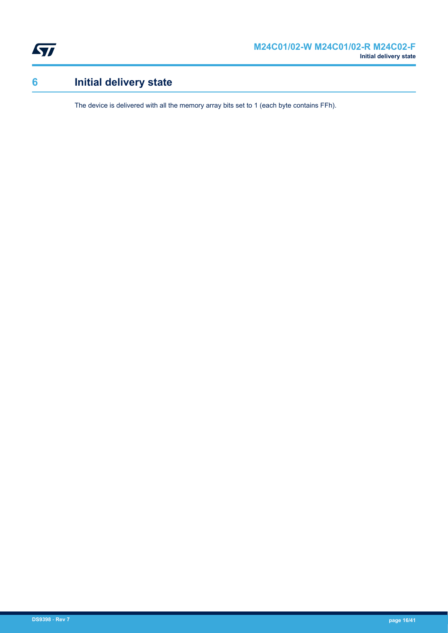<span id="page-15-0"></span>

# **6 Initial delivery state**

The device is delivered with all the memory array bits set to 1 (each byte contains FFh).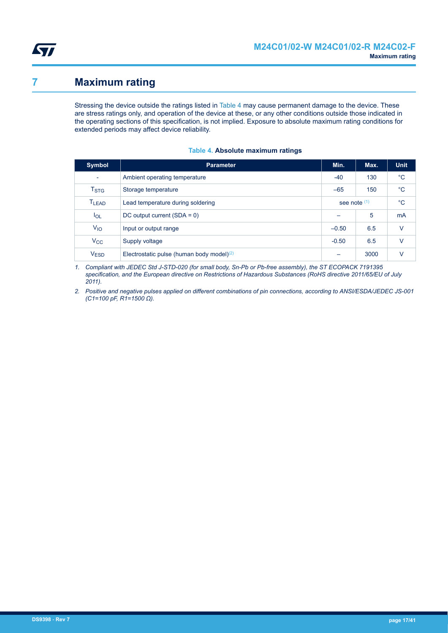<span id="page-16-0"></span>

## **7 Maximum rating**

Stressing the device outside the ratings listed in Table 4 may cause permanent damage to the device. These are stress ratings only, and operation of the device at these, or any other conditions outside those indicated in the operating sections of this specification, is not implied. Exposure to absolute maximum rating conditions for extended periods may affect device reliability.

| <b>Symbol</b>            | <b>Parameter</b>                             | Min.           | Max. | <b>Unit</b>  |
|--------------------------|----------------------------------------------|----------------|------|--------------|
| $\overline{\phantom{a}}$ | Ambient operating temperature                | -40            | 130  | $^{\circ}$ C |
| $T_{\mathrm{STG}}$       | Storage temperature                          | $-65$          | 150  | $^{\circ}$ C |
| T <sub>LEAD</sub>        | Lead temperature during soldering            | see note $(1)$ |      | $^{\circ}C$  |
| $I_{OL}$                 | DC output current $(SDA = 0)$                |                | 5    | <b>mA</b>    |
| $V_{IO}$                 | Input or output range                        | $-0.50$        | 6.5  | $\vee$       |
| $V_{\rm CC}$             | Supply voltage                               | $-0.50$        | 6.5  | $\vee$       |
| V <sub>ESD</sub>         | Electrostatic pulse (human body model) $(2)$ |                | 3000 | v            |

#### **Table 4. Absolute maximum ratings**

*1. Compliant with JEDEC Std J-STD-020 (for small body, Sn-Pb or Pb-free assembly), the ST ECOPACK 7191395 specification, and the European directive on Restrictions of Hazardous Substances (RoHS directive 2011/65/EU of July 2011).*

*2. Positive and negative pulses applied on different combinations of pin connections, according to ANSI/ESDA/JEDEC JS-001 (C1=100 pF, R1=1500 Ω).*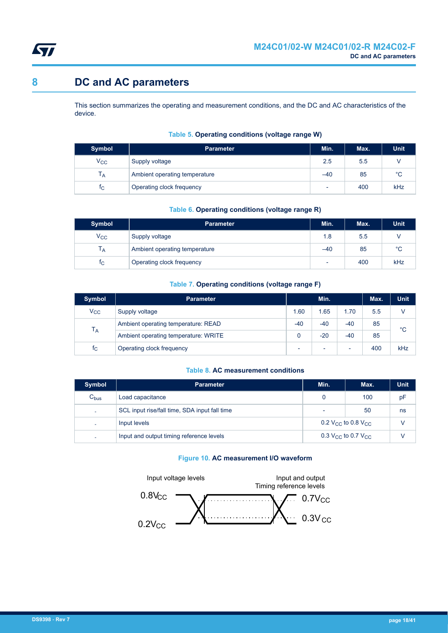<span id="page-17-0"></span>

## **8 DC and AC parameters**

This section summarizes the operating and measurement conditions, and the DC and AC characteristics of the device.

| Symbol         | <b>Parameter</b>              | Min. | Max. | <b>Unit</b> |
|----------------|-------------------------------|------|------|-------------|
| $V_{\rm CC}$   | Supply voltage                | 2.5  | 5.5  |             |
| $T_A$          | Ambient operating temperature | -40  | 85   | $^{\circ}C$ |
| T <sub>C</sub> | Operating clock frequency     | -    | 400  | kHz         |

#### **Table 5. Operating conditions (voltage range W)**

#### **Table 6. Operating conditions (voltage range R)**

| Symbol         | <b>Parameter</b>              | Min.                     | Max. | <b>Unit</b> |
|----------------|-------------------------------|--------------------------|------|-------------|
| $V_{\rm CC}$   | Supply voltage                | 1.8                      | 5.5  |             |
| T <sub>A</sub> | Ambient operating temperature | $-40$                    | 85   | $^{\circ}C$ |
| t <sub>C</sub> | Operating clock frequency     | $\overline{\phantom{0}}$ | 400  | kHz         |

#### **Table 7. Operating conditions (voltage range F)**

| <b>Symbol</b> | <b>Parameter</b>                     |                          | Min.                     |       | Max. | <b>Unit</b> |
|---------------|--------------------------------------|--------------------------|--------------------------|-------|------|-------------|
| $V_{\rm CC}$  | Supply voltage                       | 1.60                     | 1.65                     | 1.70  | 5.5  |             |
| $T_A$         | Ambient operating temperature: READ  | $-40$                    | $-40$                    | $-40$ | 85   | $^{\circ}C$ |
|               | Ambient operating temperature: WRITE |                          | $-20$                    | $-40$ | 85   |             |
| $t_{\rm C}$   | Operating clock frequency            | $\overline{\phantom{0}}$ | $\overline{\phantom{a}}$ | ٠     | 400  | kHz         |

#### **Table 8. AC measurement conditions**

| <b>Symbol</b>            | <b>Parameter</b>                              | Min.           | Max.                                       | <b>Unit</b> |
|--------------------------|-----------------------------------------------|----------------|--------------------------------------------|-------------|
| $C_{bus}$                | Load capacitance                              | 0              | 100                                        | pF          |
| ٠                        | SCL input rise/fall time, SDA input fall time | $\overline{a}$ | 50                                         | ns          |
| ÷.                       | Input levels                                  |                | 0.2 V <sub>CC</sub> to 0.8 V <sub>CC</sub> | V           |
| $\overline{\phantom{a}}$ | Input and output timing reference levels      |                | 0.3 V <sub>CC</sub> to 0.7 V <sub>CC</sub> | v           |

#### **Figure 10. AC measurement I/O waveform**

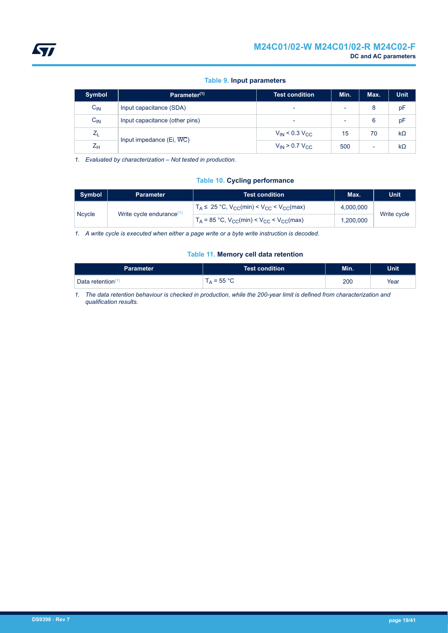### **Table 9. Input parameters**

<span id="page-18-0"></span>

| <b>Symbol</b> | Parameter <sup>(1)</sup>       | Test condition          | Min. | Max.                     | <b>Unit</b> |
|---------------|--------------------------------|-------------------------|------|--------------------------|-------------|
| $C_{IN}$      | Input capacitance (SDA)        |                         |      | 8                        | pF          |
| $C_{IN}$      | Input capacitance (other pins) |                         |      | 6                        | pF          |
| $Z_L$         |                                | $V_{IN}$ < 0.3 $V_{CC}$ | 15   | 70                       | $k\Omega$   |
| $Z_{H}$       | Input impedance $(Ei, WC)$     | $V_{IN}$ > 0.7 $V_{CC}$ | 500  | $\overline{\phantom{0}}$ | $k\Omega$   |

*1. Evaluated by characterization – Not tested in production.*

#### **Table 10. Cycling performance**

| Symbol                                       | <b>Parameter</b> | Test condition                                         | Max.      | <b>Unit</b> |
|----------------------------------------------|------------------|--------------------------------------------------------|-----------|-------------|
| <b>Ncycle</b><br>Write cycle endurance $(1)$ |                  | $T_A \leq 25$ °C, $V_{CC}(min) < V_{CC} < V_{CC}(max)$ | 4.000.000 | Write cycle |
|                                              |                  | $T_A$ = 85 °C, $V_{CC}(min) < V_{CC} < V_{CC}(max)$    | 1.200.000 |             |

*1. A write cycle is executed when either a page write or a byte write instruction is decoded.*

#### **Table 11. Memory cell data retention**

| Parameter ˈ                        | Test condition     | Min. | Unit <sup>1</sup> |
|------------------------------------|--------------------|------|-------------------|
| <b>Data retention</b> <sup>C</sup> | $_{\rm A}$ = 55 °C | 200  | Year              |

*1. The data retention behaviour is checked in production, while the 200-year limit is defined from characterization and qualification results.*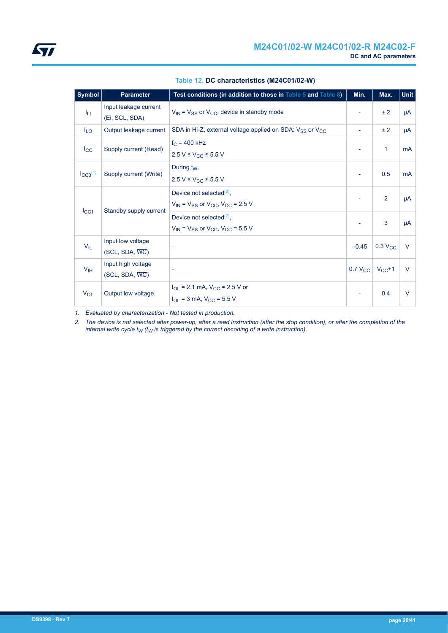<span id="page-19-0"></span>

| <b>Symbol</b>         | <b>Parameter</b>                                  | Test conditions (in addition to those in Table 5 and Table 8)                             | Min.                     | Max.           | <b>Unit</b> |
|-----------------------|---------------------------------------------------|-------------------------------------------------------------------------------------------|--------------------------|----------------|-------------|
| Jы                    | Input leakage current<br>(Ei, SCL, SDA)           | $V_{IN}$ = $V_{SS}$ or $V_{CC}$ , device in standby mode                                  |                          | ± 2            | μA          |
| <sup>I</sup> LO       | Output leakage current                            | SDA in Hi-Z, external voltage applied on SDA: V <sub>SS</sub> or V <sub>CC</sub>          | $\overline{\phantom{a}}$ | ± 2            | μA          |
| $I_{\rm CC}$          | Supply current (Read)                             | $f_C = 400$ kHz<br>$2.5 V \leq V_{CC} \leq 5.5 V$                                         |                          | $\mathbf{1}$   | mA          |
| $I_{CCO}^{(1)}$       | Supply current (Write)                            | During $t_W$ ,<br>2.5 V ≤ V <sub>CC</sub> ≤ 5.5 V                                         | $\overline{\phantom{a}}$ | 0.5            | mA          |
| $I_{\rm CC1}$         | Standby supply current                            | Device not selected $(2)$ ,<br>$V_{IN}$ = $V_{SS}$ or $V_{CC}$ , $V_{CC}$ = 2.5 V         |                          | 2              | μA          |
|                       |                                                   | Device not selected $(2)$ ,<br>$V_{IN}$ = $V_{SS}$ or $V_{CC}$ , $V_{CC}$ = 5.5 V         |                          | 3              | μA          |
| $V_{IL}$              | Input low voltage<br>$(SCL, SDA, \overline{WC})$  |                                                                                           | $-0.45$                  | $0.3$ $V_{CC}$ | $\vee$      |
| V <sub>IH</sub>       | Input high voltage<br>$(SCL, SDA, \overline{WC})$ | $\overline{\phantom{a}}$                                                                  | 0.7 $V_{CC}$ $V_{CC}$ +1 |                | $\vee$      |
| <b>V<sub>OL</sub></b> | Output low voltage                                | $I_{OL}$ = 2.1 mA, $V_{CC}$ = 2.5 V or<br>$I_{\text{OL}}$ = 3 mA, $V_{\text{CC}}$ = 5.5 V | $\overline{\phantom{a}}$ | 0.4            | $\vee$      |

#### **Table 12. DC characteristics (M24C01/02-W)**

*1. Evaluated by characterization - Not tested in production.*

*2. The device is not selected after power-up, after a read instruction (after the stop condition), or after the completion of the internal write cycle tW (tW is triggered by the correct decoding of a write instruction).*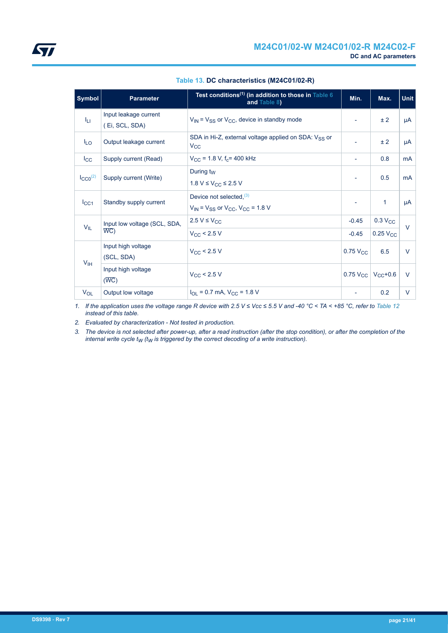<span id="page-20-0"></span>

| <b>Symbol</b>                           | <b>Parameter</b>                        | Test conditions <sup>(1)</sup> (in addition to those in Table 6<br>and Table 8)  | Min.                        | Max.                   | <b>Unit</b>    |
|-----------------------------------------|-----------------------------------------|----------------------------------------------------------------------------------|-----------------------------|------------------------|----------------|
| ĪЦ                                      | Input leakage current<br>(Ei, SCL, SDA) | $V_{IN}$ = $V_{SS}$ or $V_{CC}$ , device in standby mode                         | $\overline{\phantom{a}}$    | ± 2                    | μA             |
| $I_{LO}$                                | Output leakage current                  | SDA in Hi-Z, external voltage applied on SDA: V <sub>SS</sub> or<br>$V_{\rm CC}$ |                             | ± 2                    | μA             |
| $_{\rm lcc}$                            | Supply current (Read)                   | $V_{\rm CC}$ = 1.8 V, f <sub>c</sub> = 400 kHz                                   | $\overline{\phantom{a}}$    | 0.8                    | <b>mA</b>      |
| $I_{CCO}^{(2)}$                         | Supply current (Write)                  | During t <sub>w</sub><br>1.8 V ≤ V <sub>CC</sub> ≤ 2.5 V                         | $\overline{\phantom{a}}$    | 0.5                    | m <sub>A</sub> |
| $I_{\rm CC1}$                           | Standby supply current                  | Device not selected, $(3)$<br>$V_{IN}$ = $V_{SS}$ or $V_{CC}$ , $V_{CC}$ = 1.8 V | $\overline{\phantom{a}}$    | $\mathbf{1}$           | μA             |
| $V_{IL}$                                | Input low voltage (SCL, SDA,            | $2.5 V \leq V_{CC}$                                                              | $-0.45$                     | 0.3 V <sub>CC</sub>    | $\vee$         |
|                                         | $\overline{WC}$                         | $V_{\rm CC}$ < 2.5 V                                                             | $-0.45$                     | $0.25$ V <sub>CC</sub> |                |
| V <sub>IH</sub>                         | Input high voltage<br>(SCL, SDA)        | $V_{\rm CC}$ < 2.5 V                                                             | $0.75$ V <sub>CC</sub>      | 6.5                    | $\vee$         |
| Input high voltage<br>$(\overline{WC})$ |                                         | $V_{\rm CC}$ < 2.5 V                                                             | 0.75 $V_{CC}$ $V_{CC}$ +0.6 |                        | $\vee$         |
| $V_{OL}$                                | Output low voltage                      | $I_{\text{OL}}$ = 0.7 mA, $V_{\text{CC}}$ = 1.8 V                                |                             | 0.2                    | V              |

#### **Table 13. DC characteristics (M24C01/02-R)**

*1. If the application uses the voltage range R device with 2.5 V ≤ Vcc ≤ 5.5 V and -40 °C < TA < +85 °C, refer to [Table 12](#page-19-0) instead of this table.*

*2. Evaluated by characterization - Not tested in production.*

*3. The device is not selected after power-up, after a read instruction (after the stop condition), or after the completion of the internal write cycle tW (tW is triggered by the correct decoding of a write instruction).*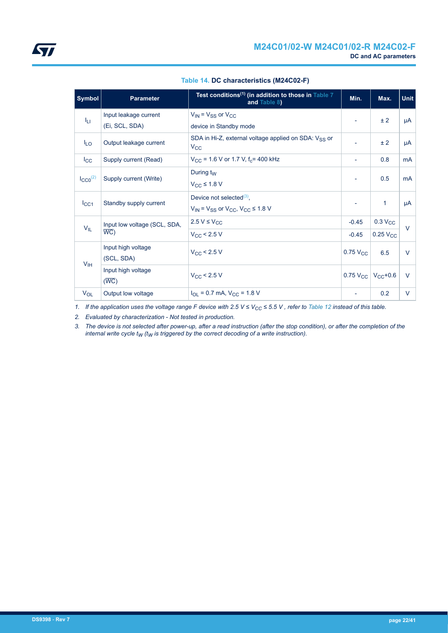<span id="page-21-0"></span>

| Symbol              | <b>Parameter</b>             | Test conditions <sup>(1)</sup> (in addition to those in Table 7<br>and Table 8)  | Min.                     | Max.                        | <b>Unit</b> |
|---------------------|------------------------------|----------------------------------------------------------------------------------|--------------------------|-----------------------------|-------------|
| ĪЦ                  | Input leakage current        | $V_{IN}$ = $V_{SS}$ or $V_{CC}$                                                  |                          | ± 2                         | μA          |
|                     | (Ei, SCL, SDA)               | device in Standby mode                                                           |                          |                             |             |
| $I_{LO}$            | Output leakage current       | SDA in Hi-Z, external voltage applied on SDA: V <sub>SS</sub> or<br>$V_{\rm CC}$ |                          | ±2                          | μA          |
| $I_{\rm CC}$        | Supply current (Read)        | $V_{CC}$ = 1.6 V or 1.7 V, $f_c$ = 400 kHz                                       | $\overline{\phantom{a}}$ | 0.8                         | <b>mA</b>   |
|                     |                              | During t <sub>w</sub>                                                            |                          | 0.5                         | <b>mA</b>   |
| $\text{LCCO}^{(2)}$ | Supply current (Write)       | $V_{\rm CC} \leq 1.8$ V                                                          | $\overline{\phantom{a}}$ |                             |             |
|                     |                              | Device not selected $(3)$ ,                                                      |                          | 1                           | μA          |
| $I_{\rm CC1}$       | Standby supply current       | $V_{IN}$ = $V_{SS}$ or $V_{CC}$ , $V_{CC} \le 1.8$ V                             |                          |                             |             |
| $V_{IL}$            | Input low voltage (SCL, SDA, | $2.5 V \leq V_{CC}$                                                              | $-0.45$                  | 0.3 V <sub>CC</sub>         | $\vee$      |
|                     | $\overline{WC}$              | $V_{CC}$ < 2.5 V                                                                 | $-0.45$                  | $0.25$ V <sub>CC</sub>      |             |
|                     | Input high voltage           | $V_{CC}$ < 2.5 V                                                                 | $0.75$ V <sub>CC</sub>   | 6.5                         | V           |
| V <sub>IH</sub>     | (SCL, SDA)                   |                                                                                  |                          |                             |             |
|                     | Input high voltage           | $V_{\rm CC}$ < 2.5 V                                                             |                          | 0.75 $V_{CC}$ $V_{CC}$ +0.6 | V           |
|                     | $(\overline{WC})$            |                                                                                  |                          |                             |             |
| $V_{OL}$            | Output low voltage           | $I_{OL}$ = 0.7 mA, $V_{CC}$ = 1.8 V                                              |                          | 0.2                         | V           |

#### **Table 14. DC characteristics (M24C02-F)**

*1. If the application uses the voltage range F device with 2.5 V ≤ VCC ≤ 5.5 V , refer to [Table 12](#page-19-0) instead of this table.*

*2. Evaluated by characterization - Not tested in production.*

*3. The device is not selected after power-up, after a read instruction (after the stop condition), or after the completion of the internal write cycle tW (tW is triggered by the correct decoding of a write instruction).*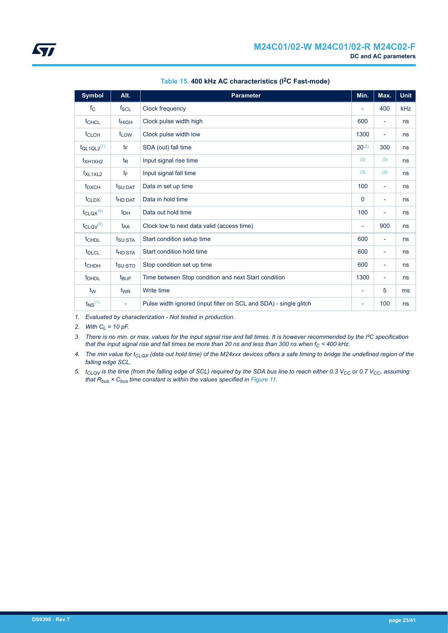<span id="page-22-0"></span>

| <b>Symbol</b>               | Alt.                     | <b>Parameter</b>                                                  | Min.                     | Max.                     | <b>Unit</b> |
|-----------------------------|--------------------------|-------------------------------------------------------------------|--------------------------|--------------------------|-------------|
| $f_{\rm C}$                 | $f_{SCL}$                | Clock frequency                                                   |                          | 400                      | <b>kHz</b>  |
| <sup>t</sup> CHCL           | <sup>t</sup> HIGH        | Clock pulse width high                                            | 600                      | $\overline{\phantom{a}}$ | ns          |
| t <sub>CLCH</sub>           | t <sub>LOW</sub>         | Clock pulse width low                                             | 1300                     | $\overline{\phantom{a}}$ | ns          |
| $t_{QL1QL2}$ <sup>(1)</sup> | tF                       | SDA (out) fall time                                               | $20^{(2)}$               | 300                      | ns          |
| $t_{XH1XH2}$                | $t_{\mathsf{R}}$         | Input signal rise time                                            | (3)                      | (3)                      | ns          |
| $t_{XL1XL2}$                | tF                       | Input signal fall time                                            | (3)                      | (3)                      | ns          |
| t <sub>DXCH</sub>           | t <sub>SU:DAT</sub>      | Data in set up time                                               | 100                      | $\overline{\phantom{a}}$ | ns          |
| $t_{CLDX}$                  | t <sub>HD:DAT</sub>      | Data in hold time                                                 | $\Omega$                 | $\overline{\phantom{a}}$ | ns          |
| $t_{\text{CLQX}}^{(4)}$     | $t_{DH}$                 | Data out hold time                                                | 100                      | $\overline{\phantom{a}}$ | ns          |
| $t_{CLQV}$ <sup>(5)</sup>   | t <sub>AA</sub>          | Clock low to next data valid (access time)                        |                          | 900                      | ns          |
| <b>t</b> CHDL               | t <sub>SU:STA</sub>      | Start condition setup time                                        | 600                      | $\overline{\phantom{a}}$ | ns          |
| t <sub>DLCL</sub>           | t <sub>HD:STA</sub>      | Start condition hold time                                         | 600                      | $\overline{\phantom{a}}$ | ns          |
| t <sub>CHDH</sub>           | t <sub>SU:STO</sub>      | Stop condition set up time                                        | 600                      | $\overline{\phantom{a}}$ | ns          |
| <b>t</b> <sub>DHDL</sub>    | $t_{\text{BUF}}$         | Time between Stop condition and next Start condition              | 1300                     | $\overline{\phantom{a}}$ | ns          |
| t <sub>w</sub>              | t <sub>WR</sub>          | Write time                                                        | ٠                        | 5                        | ms          |
| $t_{NS}$ <sup>(1)</sup>     | $\overline{\phantom{a}}$ | Pulse width ignored (input filter on SCL and SDA) - single glitch | $\overline{\phantom{a}}$ | 100                      | ns          |

### **Table 15. 400 kHz AC characteristics (I2C Fast-mode)**

*1. Evaluated by characterization - Not tested in production.*

*2. With CL = 10 pF.*

*3. There is no min. or max. values for the input signal rise and fall times. It is however recommended by the I²C specification that the input signal rise and fall times be more than 20 ns and less than 300 ns when fC < 400 kHz.*

*4. The min value for tCLQX (data out hold time) of the M24xxx devices offers a safe timing to bridge the undefined region of the falling edge SCL.*

*5. tCLQV is the time (from the falling edge of SCL) required by the SDA bus line to reach either 0.3 VCC or 0.7 VCC, assuming that Rbus × Cbus time constant is within the values specified in [Figure 11.](#page-24-0)*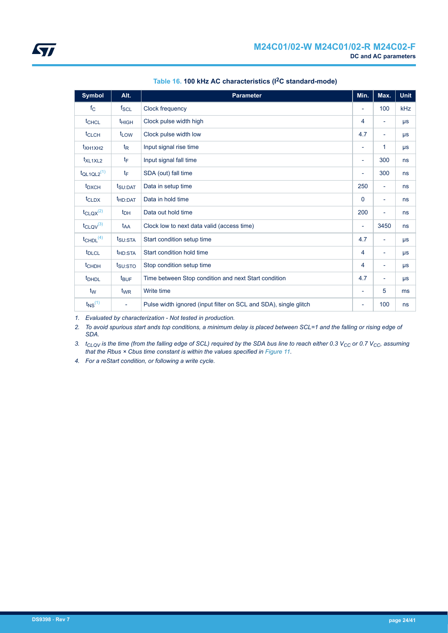<span id="page-23-0"></span>

| <b>Symbol</b>               | Alt.                | <b>Parameter</b>                                                 | Min.                     | Max.                     | <b>Unit</b> |
|-----------------------------|---------------------|------------------------------------------------------------------|--------------------------|--------------------------|-------------|
| $f_{\rm C}$                 | $f_{SCL}$           | Clock frequency                                                  | $\overline{\phantom{a}}$ | 100                      | <b>kHz</b>  |
| t <sub>CHCL</sub>           | $t_{HIGH}$          | Clock pulse width high                                           | 4                        | ٠                        | $\mu s$     |
| t <sub>CLCH</sub>           | t <sub>LOW</sub>    | Clock pulse width low                                            | 4.7                      | -                        | $\mu s$     |
| $t_{XH1XH2}$                | $t_{\mathsf{R}}$    | Input signal rise time                                           | $\overline{\phantom{a}}$ | 1                        | $\mu s$     |
| t <sub>XL1XL2</sub>         | $t_{\text{F}}$      | Input signal fall time                                           | $\overline{\phantom{a}}$ | 300                      | ns          |
| $t_{QL1QL2}$ <sup>(1)</sup> | tF                  | SDA (out) fall time                                              | ٠                        | 300                      | ns          |
| $t_{\rm DXCH}$              | t <sub>SU:DAT</sub> | Data in setup time                                               |                          | $\overline{\phantom{a}}$ | ns          |
| t <sub>CLDX</sub>           | t <sub>HD:DAT</sub> | Data in hold time                                                |                          | ٠                        | ns          |
| $t_{\text{CLQX}}^{(2)}$     | $t_{DH}$            | Data out hold time                                               | 200                      | $\overline{\phantom{0}}$ | ns          |
| $t_{CLQV}^{(3)}$            | t <sub>AA</sub>     | Clock low to next data valid (access time)                       | $\overline{\phantom{a}}$ | 3450                     | ns          |
| $t$ CHDL $(4)$              | t <sub>SU:STA</sub> | Start condition setup time                                       | 4.7                      | $\overline{\phantom{a}}$ | $\mu s$     |
| <b>t</b> <sub>DLCL</sub>    | t <sub>HD:STA</sub> | Start condition hold time                                        | 4                        | Ξ.                       | $\mu s$     |
| $t$ <sub>CHDH</sub>         | $t_{\text{SU:STO}}$ | Stop condition setup time                                        | 4                        | ۰                        | $\mu s$     |
| <b>t</b> <sub>DHDL</sub>    | $t_{\text{BUF}}$    | Time between Stop condition and next Start condition             | 4.7                      | ٠                        | $\mu s$     |
| t <sub>w</sub>              | t <sub>WR</sub>     | Write time                                                       | $\overline{\phantom{a}}$ | 5                        | ms          |
| $t_{NS}$ <sup>(1)</sup>     | $\blacksquare$      | Pulse width ignored (input filter on SCL and SDA), single glitch | $\overline{\phantom{a}}$ | 100                      | <b>ns</b>   |

### **Table 16. 100 kHz AC characteristics (I2C standard-mode)**

*1. Evaluated by characterization - Not tested in production.*

*2. To avoid spurious start ands top conditions, a minimum delay is placed between SCL=1 and the falling or rising edge of SDA.*

*3. tCLQV is the time (from the falling edge of SCL) required by the SDA bus line to reach either 0.3 VCC or 0.7 VCC, assuming that the Rbus × Cbus time constant is within the values specified in [Figure 11.](#page-24-0)*

*4. For a reStart condition, or following a write cycle.*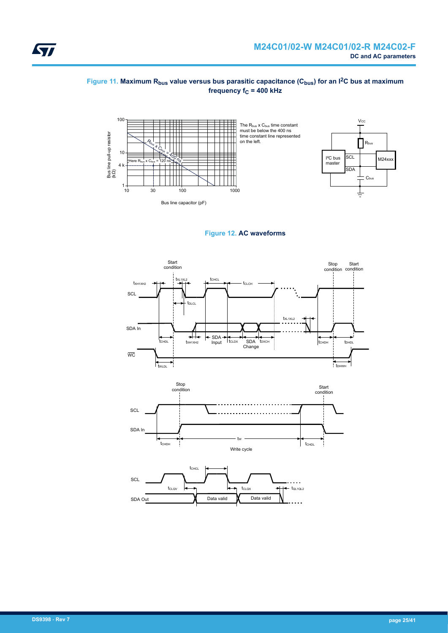#### <span id="page-24-0"></span>**Figure 11. Maximum Rbus value versus bus parasitic capacitance (Cbus) for an I2C bus at maximum frequency f<sub>C</sub> = 400 kHz**





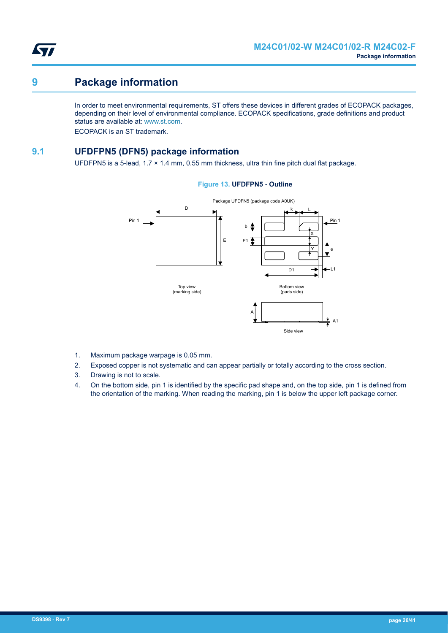<span id="page-25-0"></span>

## **9 Package information**

In order to meet environmental requirements, ST offers these devices in different grades of ECOPACK packages, depending on their level of environmental compliance. ECOPACK specifications, grade definitions and product status are available at: [www.st.com.](https://www.st.com)

ECOPACK is an ST trademark.

## **9.1 UFDFPN5 (DFN5) package information**

UFDFPN5 is a 5-lead,  $1.7 \times 1.4$  mm, 0.55 mm thickness, ultra thin fine pitch dual flat package.

#### **Figure 13. UFDFPN5 - Outline**



- 1. Maximum package warpage is 0.05 mm.
- 2. Exposed copper is not systematic and can appear partially or totally according to the cross section.
- 3. Drawing is not to scale.
- 4. On the bottom side, pin 1 is identified by the specific pad shape and, on the top side, pin 1 is defined from the orientation of the marking. When reading the marking, pin 1 is below the upper left package corner.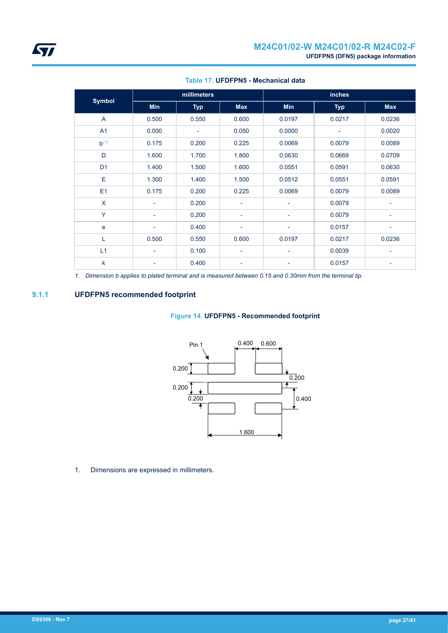<span id="page-26-0"></span>

|                |                          | millimeters |                          |                          | <b>inches</b> |                          |
|----------------|--------------------------|-------------|--------------------------|--------------------------|---------------|--------------------------|
| <b>Symbol</b>  | <b>Min</b>               | <b>Typ</b>  | <b>Max</b>               | Min                      | <b>Typ</b>    | <b>Max</b>               |
| $\overline{A}$ | 0.500                    | 0.550       | 0.600                    | 0.0197                   | 0.0217        | 0.0236                   |
| A <sub>1</sub> | 0.000                    | -           | 0.050                    | 0.0000                   |               | 0.0020                   |
| $b^{(1)}$      | 0.175                    | 0.200       | 0.225                    | 0.0069                   | 0.0079        | 0.0089                   |
| D              | 1.600                    | 1.700       | 1.800                    | 0.0630                   | 0.0669        | 0.0709                   |
| D <sub>1</sub> | 1.400                    | 1.500       | 1.600                    | 0.0551                   | 0.0591        | 0.0630                   |
| E              | 1.300                    | 1.400       | 1.500                    | 0.0512                   | 0.0551        | 0.0591                   |
| E1             | 0.175                    | 0.200       | 0.225                    | 0.0069                   | 0.0079        | 0.0089                   |
| X              | $\overline{\phantom{a}}$ | 0.200       | $\overline{\phantom{a}}$ | $\overline{\phantom{a}}$ | 0.0079        | $\overline{\phantom{a}}$ |
| Y              | $\overline{\phantom{a}}$ | 0.200       | $\overline{\phantom{a}}$ | $\overline{\phantom{a}}$ | 0.0079        | $\overline{\phantom{0}}$ |
| $\mathbf e$    | $\overline{\phantom{a}}$ | 0.400       | ۰                        | $\overline{\phantom{a}}$ | 0.0157        | -                        |
| L              | 0.500                    | 0.550       | 0.600                    | 0.0197                   | 0.0217        | 0.0236                   |
| L1             | $\overline{\phantom{a}}$ | 0.100       | ۰                        | $\overline{\phantom{a}}$ | 0.0039        | -                        |
| $\mathsf k$    | $\overline{\phantom{a}}$ | 0.400       | ۰                        |                          | 0.0157        | -                        |

#### **Table 17. UFDFPN5 - Mechanical data**

*1. Dimension b applies to plated terminal and is measured between 0.15 and 0.30mm from the terminal tip.*

## **9.1.1 UFDFPN5 recommended footprint**

#### **Figure 14. UFDFPN5 - Recommended footprint**



1. Dimensions are expressed in millimeters.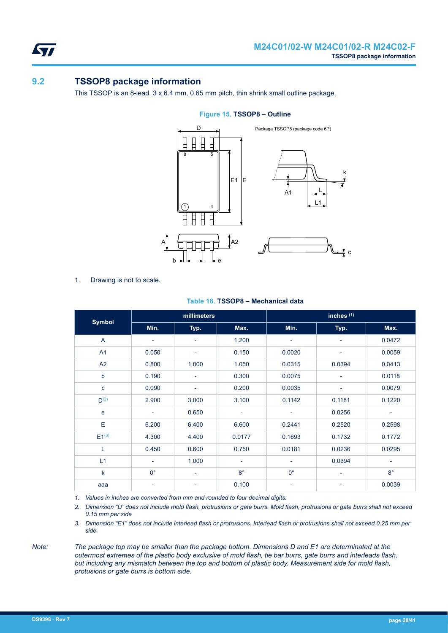<span id="page-27-0"></span>57

## **9.2 TSSOP8 package information**

This TSSOP is an 8-lead, 3 x 6.4 mm, 0.65 mm pitch, thin shrink small outline package.



#### **Figure 15. TSSOP8 – Outline**

1. Drawing is not to scale.

|                  |                          | inches <sup>(1)</sup><br>millimeters |                          |                          |                          |                          |
|------------------|--------------------------|--------------------------------------|--------------------------|--------------------------|--------------------------|--------------------------|
| <b>Symbol</b>    | Min.                     | Typ.                                 | Max.                     | Min.                     | Typ.                     | Max.                     |
| A                | $\overline{\phantom{a}}$ | $\overline{\phantom{a}}$             | 1.200                    | $\overline{\phantom{a}}$ | $\overline{\phantom{a}}$ | 0.0472                   |
| A <sub>1</sub>   | 0.050                    | ٠                                    | 0.150                    | 0.0020                   | $\overline{\phantom{a}}$ | 0.0059                   |
| A2               | 0.800                    | 1.000                                | 1.050                    | 0.0315                   | 0.0394                   | 0.0413                   |
| $\mathsf b$      | 0.190                    | $\overline{\phantom{a}}$             | 0.300                    | 0.0075                   | $\overline{\phantom{a}}$ | 0.0118                   |
| $\mathbf{C}$     | 0.090                    | $\overline{\phantom{a}}$             | 0.200                    | 0.0035                   | $\overline{\phantom{a}}$ | 0.0079                   |
| D <sup>(2)</sup> | 2.900                    | 3.000                                | 3.100                    | 0.1142                   | 0.1181                   | 0.1220                   |
| $\mathbf e$      | $\overline{\phantom{a}}$ | 0.650                                | $\overline{\phantom{a}}$ | $\overline{\phantom{0}}$ | 0.0256                   | $\overline{\phantom{0}}$ |
| Е                | 6.200                    | 6.400                                | 6.600                    | 0.2441                   | 0.2520                   | 0.2598                   |
| $E1^{(3)}$       | 4.300                    | 4.400                                | 0.0177                   | 0.1693                   | 0.1732                   | 0.1772                   |
| L                | 0.450                    | 0.600                                | 0.750                    | 0.0181                   | 0.0236                   | 0.0295                   |
| L1               | $\overline{\phantom{a}}$ | 1.000                                | $\overline{\phantom{a}}$ | $\overline{\phantom{a}}$ | 0.0394                   | $\overline{\phantom{a}}$ |
| $\mathsf{k}$     | $0^{\circ}$              | ٠                                    | $8^{\circ}$              | $0^{\circ}$              | $\overline{\phantom{a}}$ | $8^{\circ}$              |
| aaa              |                          |                                      | 0.100                    |                          |                          | 0.0039                   |

#### **Table 18. TSSOP8 – Mechanical data**

*1. Values in inches are converted from mm and rounded to four decimal digits.*

*2. Dimension "D" does not include mold flash, protrusions or gate burrs. Mold flash, protrusions or gate burrs shall not exceed 0.15 mm per side*

*3. Dimension "E1" does not include interlead flash or protrusions. Interlead flash or protrusions shall not exceed 0.25 mm per side.*

*Note: The package top may be smaller than the package bottom. Dimensions D and E1 are determinated at the outermost extremes of the plastic body exclusive of mold flash, tie bar burrs, gate burrs and interleads flash, but including any mismatch between the top and bottom of plastic body. Measurement side for mold flash, protusions or gate burrs is bottom side.*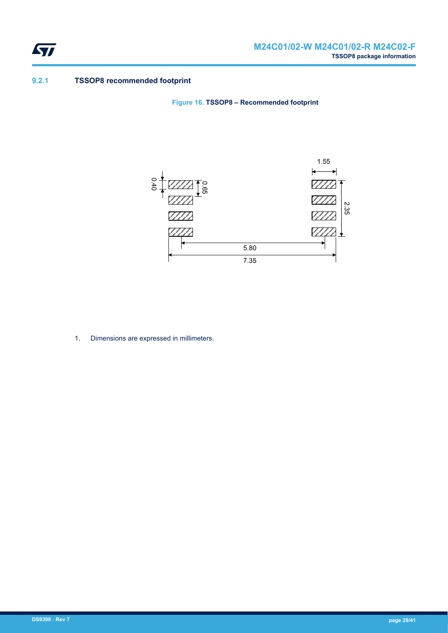<span id="page-28-0"></span>

### **9.2.1 TSSOP8 recommended footprint**

**Figure 16. TSSOP8 – Recommended footprint**



1. Dimensions are expressed in millimeters.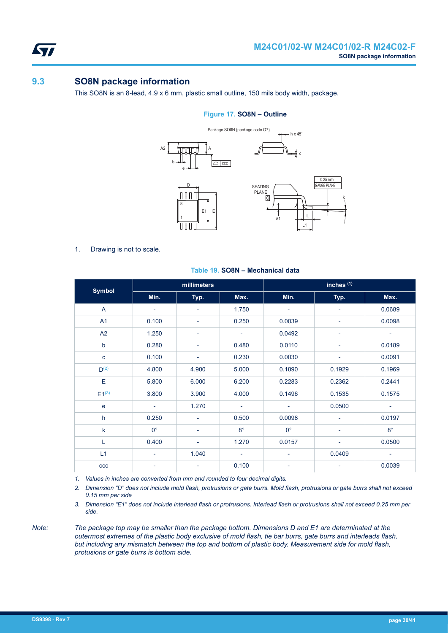<span id="page-29-0"></span>57

## **9.3 SO8N package information**

This SO8N is an 8-lead, 4.9 x 6 mm, plastic small outline, 150 mils body width, package.

#### **Figure 17. SO8N – Outline**



1. Drawing is not to scale.

|                | inches <sup>(1)</sup><br>millimeters |                          |                          |                          |                          |                          |
|----------------|--------------------------------------|--------------------------|--------------------------|--------------------------|--------------------------|--------------------------|
| <b>Symbol</b>  | Min.                                 | Typ.                     | Max.                     | Min.                     | Typ.                     | Max.                     |
| A              | ۰                                    | $\overline{\phantom{a}}$ | 1.750                    | $\overline{\phantom{a}}$ | $\overline{\phantom{a}}$ | 0.0689                   |
| A <sub>1</sub> | 0.100                                | ٠                        | 0.250                    | 0.0039                   |                          | 0.0098                   |
| A2             | 1.250                                | ٠                        | $\overline{\phantom{a}}$ | 0.0492                   |                          | ۰                        |
| $\mathsf b$    | 0.280                                | Ξ                        | 0.480                    | 0.0110                   |                          | 0.0189                   |
| c              | 0.100                                | ۰                        | 0.230                    | 0.0030                   | ۰                        | 0.0091                   |
| $D^{(2)}$      | 4.800                                | 4.900                    | 5.000                    | 0.1890                   | 0.1929                   | 0.1969                   |
| E              | 5.800                                | 6.000                    | 6.200                    | 0.2283                   | 0.2362                   | 0.2441                   |
| $E1^{(3)}$     | 3.800                                | 3.900                    | 4.000                    | 0.1496                   | 0.1535                   | 0.1575                   |
| e              | $\overline{\phantom{a}}$             | 1.270                    | $\overline{\phantom{a}}$ | $\overline{\phantom{a}}$ | 0.0500                   | $\overline{\phantom{a}}$ |
| h              | 0.250                                | ÷                        | 0.500                    | 0.0098                   |                          | 0.0197                   |
| $\mathsf k$    | $0^{\circ}$                          | $\overline{\phantom{a}}$ | $8^{\circ}$              | $0^{\circ}$              | $\overline{\phantom{a}}$ | $8^{\circ}$              |
| Г              | 0.400                                | ÷,                       | 1.270                    | 0.0157                   | -                        | 0.0500                   |
| L1             | ۰                                    | 1.040                    | ٠                        | ۰                        | 0.0409                   | ۰                        |
| CCC            | $\overline{\phantom{0}}$             |                          | 0.100                    |                          |                          | 0.0039                   |

#### **Table 19. SO8N – Mechanical data**

*1. Values in inches are converted from mm and rounded to four decimal digits.*

*2. Dimension "D" does not include mold flash, protrusions or gate burrs. Mold flash, protrusions or gate burrs shall not exceed 0.15 mm per side*

*3. Dimension "E1" does not include interlead flash or protrusions. Interlead flash or protrusions shall not exceed 0.25 mm per side.*

*Note: The package top may be smaller than the package bottom. Dimensions D and E1 are determinated at the outermost extremes of the plastic body exclusive of mold flash, tie bar burrs, gate burrs and interleads flash, but including any mismatch between the top and bottom of plastic body. Measurement side for mold flash, protusions or gate burrs is bottom side.*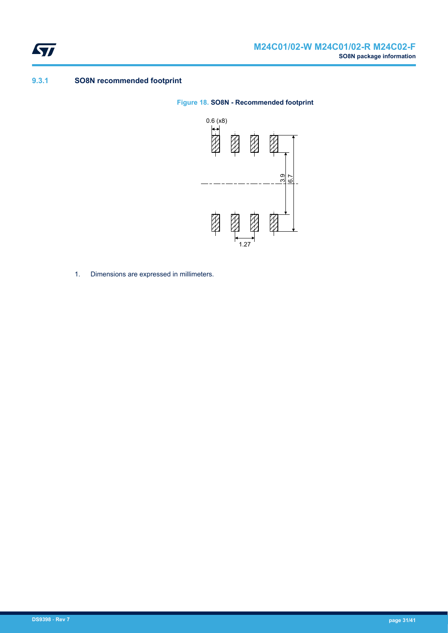<span id="page-30-0"></span>

### **9.3.1 SO8N recommended footprint**

#### **Figure 18. SO8N - Recommended footprint**



1. Dimensions are expressed in millimeters.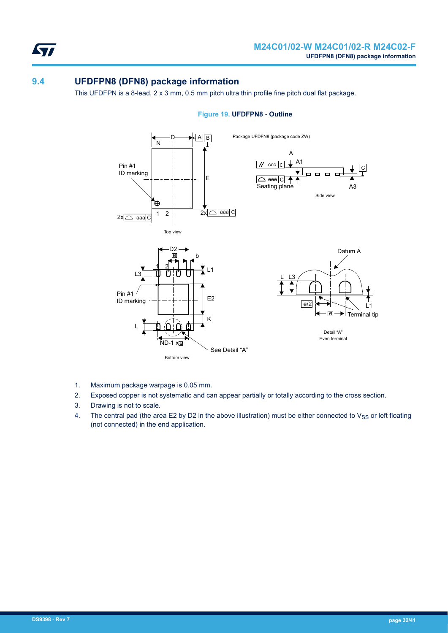<span id="page-31-0"></span>S7

## **9.4 UFDFPN8 (DFN8) package information**

This UFDFPN is a 8-lead, 2 x 3 mm, 0.5 mm pitch ultra thin profile fine pitch dual flat package.



#### **Figure 19. UFDFPN8 - Outline**

- 1. Maximum package warpage is 0.05 mm.
- 2. Exposed copper is not systematic and can appear partially or totally according to the cross section.
- 3. Drawing is not to scale.
- 4. The central pad (the area E2 by D2 in the above illustration) must be either connected to  $V_{SS}$  or left floating (not connected) in the end application.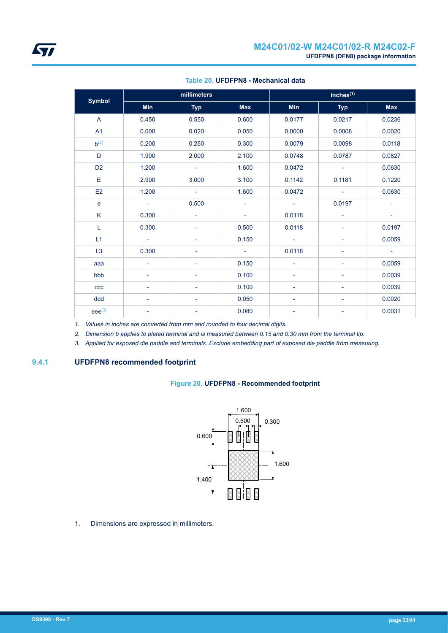<span id="page-32-0"></span>

| <b>Symbol</b>  |                          | millimeters              |                          | $inches^{(1)}$           |                          |                          |
|----------------|--------------------------|--------------------------|--------------------------|--------------------------|--------------------------|--------------------------|
|                | Min                      | <b>Typ</b>               | <b>Max</b>               | <b>Min</b>               | <b>Typ</b>               | <b>Max</b>               |
| A              | 0.450                    | 0.550                    | 0.600                    | 0.0177                   | 0.0217                   | 0.0236                   |
| A1             | 0.000                    | 0.020                    | 0.050                    | 0.0000                   | 0.0008                   | 0.0020                   |
| $h^{(2)}$      | 0.200                    | 0.250                    | 0.300                    | 0.0079                   | 0.0098                   | 0.0118                   |
| D              | 1.900                    | 2.000                    | 2.100                    | 0.0748                   | 0.0787                   | 0.0827                   |
| D <sub>2</sub> | 1.200                    | $\sim$                   | 1.600                    | 0.0472                   | $\overline{\phantom{a}}$ | 0.0630                   |
| Е              | 2.900                    | 3.000                    | 3.100                    | 0.1142                   | 0.1181                   | 0.1220                   |
| E <sub>2</sub> | 1.200                    | $\sim$                   | 1.600                    | 0.0472                   | $\overline{\phantom{a}}$ | 0.0630                   |
| $\mathbf e$    | $\sim$                   | 0.500                    | $\overline{\phantom{a}}$ | $\sim$                   | 0.0197                   | $\overline{\phantom{a}}$ |
| K              | 0.300                    | $\overline{\phantom{a}}$ | ۰                        | 0.0118                   | $\overline{\phantom{0}}$ | $\overline{\phantom{a}}$ |
| L              | 0.300                    | $\overline{\phantom{a}}$ | 0.500                    | 0.0118                   |                          | 0.0197                   |
| L1             | $\sim$                   | $\overline{\phantom{a}}$ | 0.150                    | $\overline{\phantom{a}}$ |                          | 0.0059                   |
| L <sub>3</sub> | 0.300                    |                          | $\sim$                   | 0.0118                   | $\overline{\phantom{a}}$ | $\sim$                   |
| aaa            | $\blacksquare$           | $\overline{\phantom{a}}$ | 0.150                    | ٠                        | $\overline{\phantom{0}}$ | 0.0059                   |
| bbb            | $\overline{\phantom{a}}$ | $\overline{\phantom{a}}$ | 0.100                    | Ξ.                       | $\overline{\phantom{0}}$ | 0.0039                   |
| ccc            | $\overline{\phantom{a}}$ | $\overline{\phantom{a}}$ | 0.100                    | Ξ.                       | $\overline{\phantom{0}}$ | 0.0039                   |
| ddd            | $\overline{\phantom{a}}$ | ٠                        | 0.050                    | $\overline{\phantom{0}}$ | $\overline{\phantom{a}}$ | 0.0020                   |
| $eee^{(3)}$    |                          |                          | 0.080                    |                          | ÷,                       | 0.0031                   |

#### **Table 20. UFDFPN8 - Mechanical data**

*1. Values in inches are converted from mm and rounded to four decimal digits.*

*2. Dimension b applies to plated terminal and is measured between 0.15 and 0.30 mm from the terminal tip.*

*3. Applied for exposed die paddle and terminals. Exclude embedding part of exposed die paddle from measuring.*

### **9.4.1 UFDFPN8 recommended footprint**

#### **Figure 20. UFDFPN8 - Recommended footprint**



1. Dimensions are expressed in millimeters.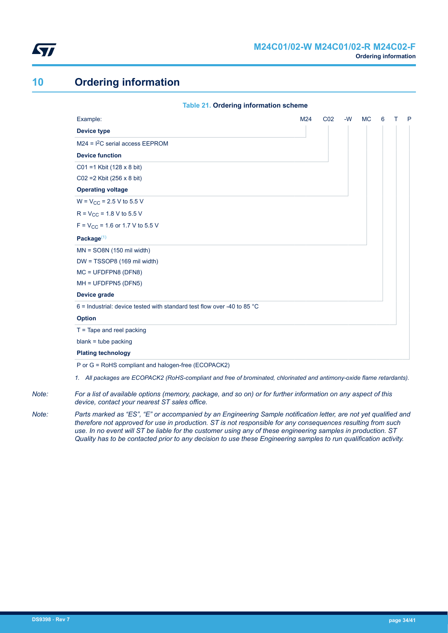<span id="page-33-0"></span>

## **10 Ordering information**

| <b>Table 21. Ordering information scheme</b>                                      |     |                 |      |           |   |   |
|-----------------------------------------------------------------------------------|-----|-----------------|------|-----------|---|---|
| Example:                                                                          | M24 | CO <sub>2</sub> | $-W$ | <b>MC</b> | 6 | P |
| <b>Device type</b>                                                                |     |                 |      |           |   |   |
| $M24 = I2C$ serial access EEPROM                                                  |     |                 |      |           |   |   |
| <b>Device function</b>                                                            |     |                 |      |           |   |   |
| $CO1 = 1$ Kbit (128 x 8 bit)                                                      |     |                 |      |           |   |   |
| $CO2 = 2$ Kbit (256 x 8 bit)                                                      |     |                 |      |           |   |   |
| <b>Operating voltage</b>                                                          |     |                 |      |           |   |   |
| $W = V_{CC} = 2.5 V$ to 5.5 V                                                     |     |                 |      |           |   |   |
| $R = V_{CC} = 1.8 V$ to 5.5 V                                                     |     |                 |      |           |   |   |
| $F = V_{CC} = 1.6$ or 1.7 V to 5.5 V                                              |     |                 |      |           |   |   |
| Package $(1)$                                                                     |     |                 |      |           |   |   |
| $MN = SO8N$ (150 mil width)                                                       |     |                 |      |           |   |   |
| $DW = TSSOP8$ (169 mil width)                                                     |     |                 |      |           |   |   |
| $MC = UFDFPN8 (DFN8)$                                                             |     |                 |      |           |   |   |
| MH = UFDFPN5 (DFN5)                                                               |     |                 |      |           |   |   |
| <b>Device grade</b>                                                               |     |                 |      |           |   |   |
| 6 = Industrial: device tested with standard test flow over -40 to 85 $^{\circ}$ C |     |                 |      |           |   |   |
| <b>Option</b>                                                                     |     |                 |      |           |   |   |
| $T =$ Tape and reel packing                                                       |     |                 |      |           |   |   |
| $blank = tube$ packing                                                            |     |                 |      |           |   |   |
| <b>Plating technology</b>                                                         |     |                 |      |           |   |   |
| P or G = RoHS compliant and halogen-free (ECOPACK2)                               |     |                 |      |           |   |   |

*1. All packages are ECOPACK2 (RoHS-compliant and free of brominated, chlorinated and antimony-oxide flame retardants).*

*Note: For a list of available options (memory, package, and so on) or for further information on any aspect of this device, contact your nearest ST sales office.*

*Note: Parts marked as "ES", "E" or accompanied by an Engineering Sample notification letter, are not yet qualified and therefore not approved for use in production. ST is not responsible for any consequences resulting from such use. In no event will ST be liable for the customer using any of these engineering samples in production. ST Quality has to be contacted prior to any decision to use these Engineering samples to run qualification activity.*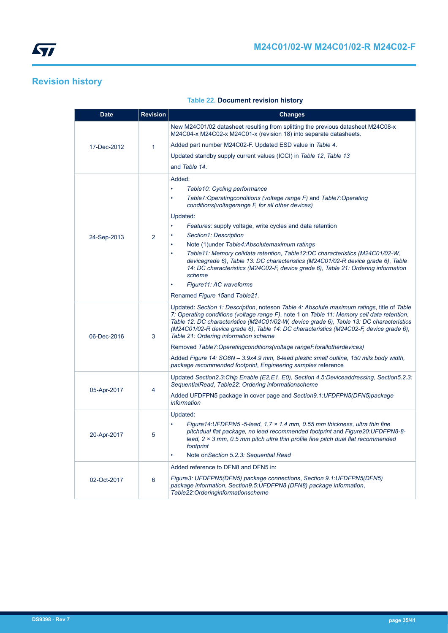<span id="page-34-0"></span>

## **Revision history**

|  |  | <b>Table 22. Document revision history</b> |  |  |
|--|--|--------------------------------------------|--|--|
|--|--|--------------------------------------------|--|--|

| <b>Date</b>                               | <b>Revision</b> | <b>Changes</b>                                                                                                                                                                                                                                                                                                                                                                                                          |
|-------------------------------------------|-----------------|-------------------------------------------------------------------------------------------------------------------------------------------------------------------------------------------------------------------------------------------------------------------------------------------------------------------------------------------------------------------------------------------------------------------------|
|                                           | $\mathbf{1}$    | New M24C01/02 datasheet resulting from splitting the previous datasheet M24C08-x<br>M24C04-x M24C02-x M24C01-x (revision 18) into separate datasheets.                                                                                                                                                                                                                                                                  |
| 17-Dec-2012<br>24-Sep-2013<br>06-Dec-2016 |                 | Added part number M24C02-F. Updated ESD value in Table 4.                                                                                                                                                                                                                                                                                                                                                               |
|                                           |                 | Updated standby supply current values (ICCI) in Table 12, Table 13                                                                                                                                                                                                                                                                                                                                                      |
|                                           |                 | and Table 14.                                                                                                                                                                                                                                                                                                                                                                                                           |
|                                           |                 | Added:                                                                                                                                                                                                                                                                                                                                                                                                                  |
|                                           |                 | $\bullet$<br>Table 10: Cycling performance                                                                                                                                                                                                                                                                                                                                                                              |
|                                           | 2               | Table7:Operatingconditions (voltage range F) and Table7:Operating<br>$\bullet$<br>conditions(voltagerange F, for all other devices)                                                                                                                                                                                                                                                                                     |
|                                           |                 | Updated:                                                                                                                                                                                                                                                                                                                                                                                                                |
|                                           |                 | $\bullet$<br><i>Features:</i> supply voltage, write cycles and data retention                                                                                                                                                                                                                                                                                                                                           |
|                                           |                 | Section1: Description                                                                                                                                                                                                                                                                                                                                                                                                   |
|                                           |                 | Note (1) under Table 4: Absolute maximum ratings                                                                                                                                                                                                                                                                                                                                                                        |
|                                           |                 | Table11: Memory celldata retention, Table12:DC characteristics (M24C01/02-W,<br>$\ddot{\phantom{a}}$<br>devicegrade 6), Table 13: DC characteristics (M24C01/02-R device grade 6), Table<br>14: DC characteristics (M24C02-F, device grade 6), Table 21: Ordering information<br>scheme                                                                                                                                 |
|                                           |                 | Figure 11: AC waveforms                                                                                                                                                                                                                                                                                                                                                                                                 |
|                                           |                 | Renamed Figure 15and Table21.                                                                                                                                                                                                                                                                                                                                                                                           |
| 05-Apr-2017<br>20-Apr-2017<br>02-Oct-2017 | 3               | Updated: Section 1: Description, noteson Table 4: Absolute maximum ratings, title of Table<br>7: Operating conditions (voltage range F), note 1 on Table 11: Memory cell data retention,<br>Table 12: DC characteristics (M24C01/02-W, device grade 6), Table 13: DC characteristics<br>(M24C01/02-R device grade 6), Table 14: DC characteristics (M24C02-F, device grade 6),<br>Table 21: Ordering information scheme |
|                                           |                 | Removed Table7:Operatingconditions(voltage rangeFforallotherdevices)                                                                                                                                                                                                                                                                                                                                                    |
|                                           |                 | Added Figure 14: SO8N - 3.9x4.9 mm, 8-lead plastic small outline, 150 mils body width,<br>package recommended footprint, Engineering samples reference                                                                                                                                                                                                                                                                  |
|                                           |                 | Updated Section2.3:Chip Enable (E2,E1, E0), Section 4.5:Deviceaddressing, Section5.2.3:<br>SequentialRead, Table22: Ordering informationscheme                                                                                                                                                                                                                                                                          |
|                                           | 4               | Added UFDFPN5 package in cover page and Section9.1:UFDFPN5(DFN5)package<br><i>information</i>                                                                                                                                                                                                                                                                                                                           |
|                                           |                 | Updated:                                                                                                                                                                                                                                                                                                                                                                                                                |
|                                           | 5               | Figure 14: UFDFPN5 -5-lead, 1.7 $\times$ 1.4 mm, 0.55 mm thickness, ultra thin fine<br>$\bullet$<br>pitchdual flat package, no lead recommended footprint and Figure20:UFDFPN8-8-<br>lead, $2 \times 3$ mm, 0.5 mm pitch ultra thin profile fine pitch dual flat recommended<br>footprint                                                                                                                               |
|                                           |                 | Note on Section 5.2.3: Sequential Read<br>$\bullet$                                                                                                                                                                                                                                                                                                                                                                     |
|                                           |                 | Added reference to DFN8 and DFN5 in:                                                                                                                                                                                                                                                                                                                                                                                    |
|                                           | 6               | Figure3: UFDFPN5(DFN5) package connections, Section 9.1: UFDFPN5(DFN5)<br>package information, Section9.5:UFDFPN8 (DFN8) package information,<br>Table22:Orderinginformationscheme                                                                                                                                                                                                                                      |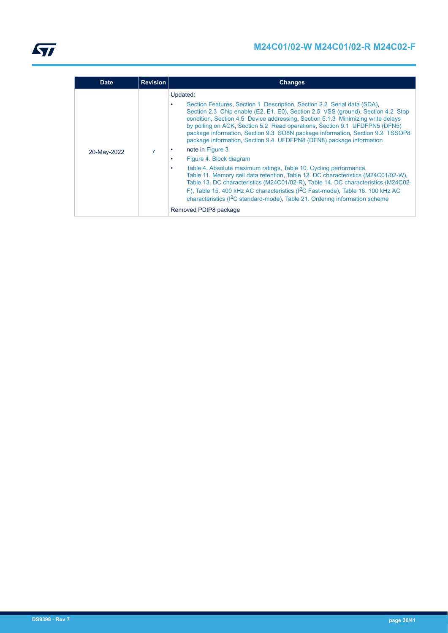| <b>Date</b> | <b>Revision</b> | <b>Changes</b>                                                                                                                                                                                                                                                                                                                                                                                                                                                                                                                                                                                                                                                                                                                                                                                                                                                                                                                                                                                                         |
|-------------|-----------------|------------------------------------------------------------------------------------------------------------------------------------------------------------------------------------------------------------------------------------------------------------------------------------------------------------------------------------------------------------------------------------------------------------------------------------------------------------------------------------------------------------------------------------------------------------------------------------------------------------------------------------------------------------------------------------------------------------------------------------------------------------------------------------------------------------------------------------------------------------------------------------------------------------------------------------------------------------------------------------------------------------------------|
| 20-May-2022 |                 | Updated:<br>Section Features, Section 1 Description, Section 2.2 Serial data (SDA),<br>Section 2.3 Chip enable (E2, E1, E0), Section 2.5 VSS (ground), Section 4.2 Stop<br>condition, Section 4.5 Device addressing, Section 5.1.3 Minimizing write delays<br>by polling on ACK, Section 5.2 Read operations, Section 9.1 UFDFPN5 (DFN5)<br>package information, Section 9.3 SO8N package information, Section 9.2 TSSOP8<br>package information, Section 9.4 UFDFPN8 (DFN8) package information<br>note in Figure 3<br>Figure 4. Block diagram<br>Table 4. Absolute maximum ratings, Table 10. Cycling performance,<br>٠<br>Table 11. Memory cell data retention, Table 12. DC characteristics (M24C01/02-W),<br>Table 13. DC characteristics (M24C01/02-R), Table 14. DC characteristics (M24C02-<br>F), Table 15. 400 kHz AC characteristics (I <sup>2</sup> C Fast-mode), Table 16. 100 kHz AC<br>characteristics (I <sup>2</sup> C standard-mode), Table 21. Ordering information scheme<br>Removed PDIP8 package |
|             |                 |                                                                                                                                                                                                                                                                                                                                                                                                                                                                                                                                                                                                                                                                                                                                                                                                                                                                                                                                                                                                                        |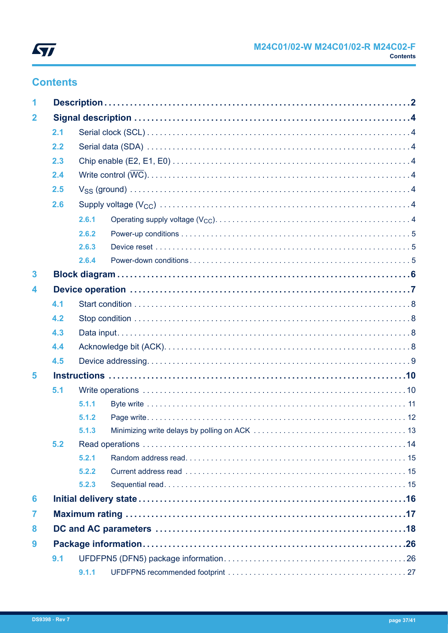

## **Contents**

| 1                       |     |       |  |  |  |
|-------------------------|-----|-------|--|--|--|
| $\overline{\mathbf{2}}$ |     |       |  |  |  |
|                         | 2.1 |       |  |  |  |
|                         | 2.2 |       |  |  |  |
|                         | 2.3 |       |  |  |  |
|                         | 2.4 |       |  |  |  |
|                         | 2.5 |       |  |  |  |
|                         | 2.6 |       |  |  |  |
|                         |     | 2.6.1 |  |  |  |
|                         |     | 2.6.2 |  |  |  |
|                         |     | 2.6.3 |  |  |  |
|                         |     | 2.6.4 |  |  |  |
| $\overline{\mathbf{3}}$ |     |       |  |  |  |
| 4                       |     |       |  |  |  |
|                         | 4.1 |       |  |  |  |
|                         | 4.2 |       |  |  |  |
|                         | 4.3 |       |  |  |  |
|                         | 4.4 |       |  |  |  |
|                         | 4.5 |       |  |  |  |
| 5                       |     |       |  |  |  |
|                         | 5.1 |       |  |  |  |
|                         |     | 5.1.1 |  |  |  |
|                         |     | 5.1.2 |  |  |  |
|                         |     | 5.1.3 |  |  |  |
|                         | 5.2 |       |  |  |  |
|                         |     | 5.2.1 |  |  |  |
|                         |     | 5.2.2 |  |  |  |
|                         |     | 5.2.3 |  |  |  |
| 6                       |     |       |  |  |  |
| 7                       |     |       |  |  |  |
| 8                       |     |       |  |  |  |
| 9                       |     |       |  |  |  |
|                         | 9.1 |       |  |  |  |
|                         |     | 9.1.1 |  |  |  |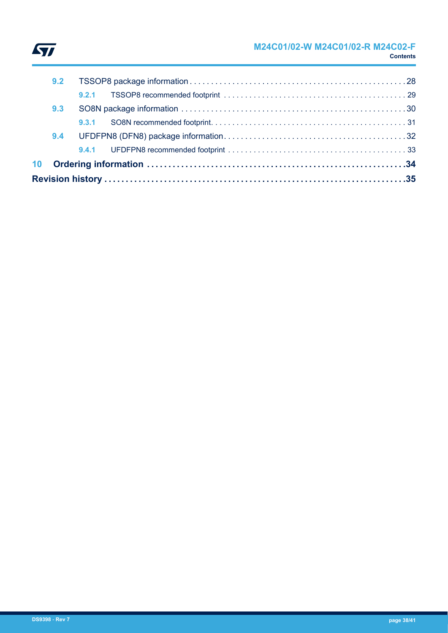

## **M24C01/02-W M24C01/02-R M24C02-F Contents**

|     |     | 9.3.1 |  |  |
|-----|-----|-------|--|--|
| 9.3 |     |       |  |  |
|     |     |       |  |  |
|     | 9.2 |       |  |  |
|     |     |       |  |  |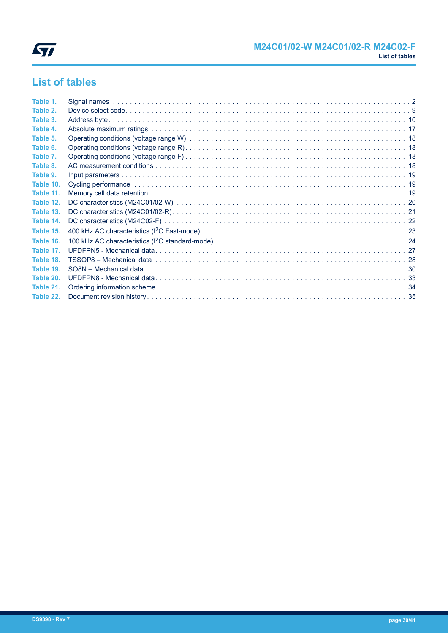

## **List of tables**

| Table 1.  |  |
|-----------|--|
| Table 2.  |  |
| Table 3.  |  |
| Table 4.  |  |
| Table 5.  |  |
| Table 6.  |  |
| Table 7.  |  |
| Table 8.  |  |
| Table 9.  |  |
| Table 10. |  |
| Table 11. |  |
| Table 12. |  |
| Table 13. |  |
| Table 14. |  |
| Table 15. |  |
| Table 16. |  |
| Table 17. |  |
| Table 18. |  |
| Table 19. |  |
| Table 20. |  |
| Table 21. |  |
| Table 22. |  |
|           |  |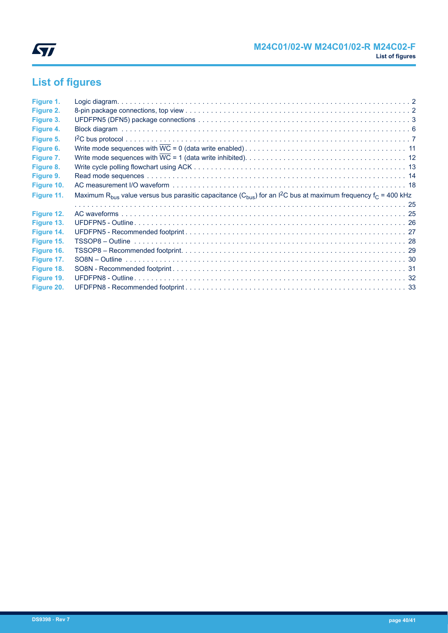

# **List of figures**

| Figure 1.  |                                                                                                                                                               |  |
|------------|---------------------------------------------------------------------------------------------------------------------------------------------------------------|--|
| Figure 2.  |                                                                                                                                                               |  |
| Figure 3.  |                                                                                                                                                               |  |
| Figure 4.  |                                                                                                                                                               |  |
| Figure 5.  |                                                                                                                                                               |  |
| Figure 6.  |                                                                                                                                                               |  |
| Figure 7.  |                                                                                                                                                               |  |
| Figure 8.  |                                                                                                                                                               |  |
| Figure 9.  |                                                                                                                                                               |  |
| Figure 10. |                                                                                                                                                               |  |
| Figure 11. | Maximum R <sub>bus</sub> value versus bus parasitic capacitance (C <sub>bus</sub> ) for an I <sup>2</sup> C bus at maximum frequency f <sub>C</sub> = 400 kHz |  |
|            |                                                                                                                                                               |  |
| Figure 12. |                                                                                                                                                               |  |
| Figure 13. |                                                                                                                                                               |  |
| Figure 14. |                                                                                                                                                               |  |
| Figure 15. |                                                                                                                                                               |  |
| Figure 16. |                                                                                                                                                               |  |
| Figure 17. |                                                                                                                                                               |  |
| Figure 18. |                                                                                                                                                               |  |
|            |                                                                                                                                                               |  |
| Figure 19. |                                                                                                                                                               |  |